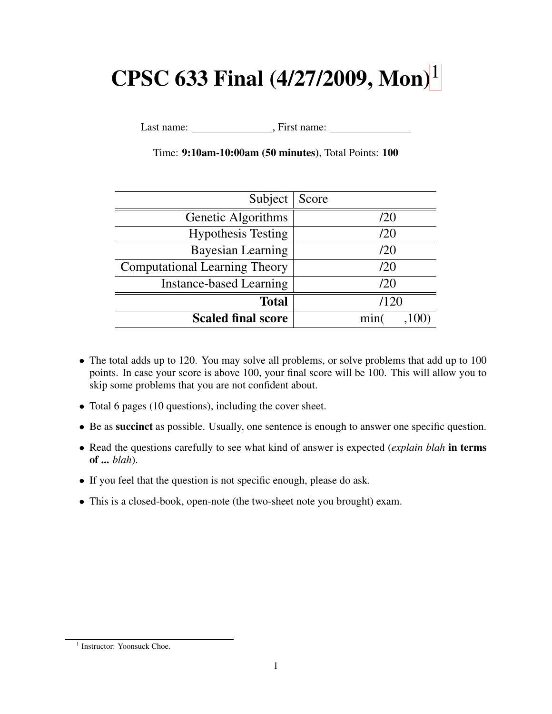# CPSC 633 Final  $(4/27/2009,$  Mon $)^1$  $)^1$

Last name: , First name:

| Subject                              | Score |
|--------------------------------------|-------|
| Genetic Algorithms                   | /20   |
| <b>Hypothesis Testing</b>            | /20   |
| <b>Bayesian Learning</b>             | /20   |
| <b>Computational Learning Theory</b> | /20   |
| <b>Instance-based Learning</b>       | /20   |
| <b>Total</b>                         | /120  |
| <b>Scaled final score</b>            | min   |

Time: 9:10am-10:00am (50 minutes), Total Points: 100

- The total adds up to 120. You may solve all problems, or solve problems that add up to 100 points. In case your score is above 100, your final score will be 100. This will allow you to skip some problems that you are not confident about.
- Total 6 pages (10 questions), including the cover sheet.
- Be as succinct as possible. Usually, one sentence is enough to answer one specific question.
- Read the questions carefully to see what kind of answer is expected (*explain blah* in terms of ... *blah*).
- If you feel that the question is not specific enough, please do ask.
- This is a closed-book, open-note (the two-sheet note you brought) exam.

<span id="page-0-0"></span><sup>&</sup>lt;sup>1</sup> Instructor: Yoonsuck Choe.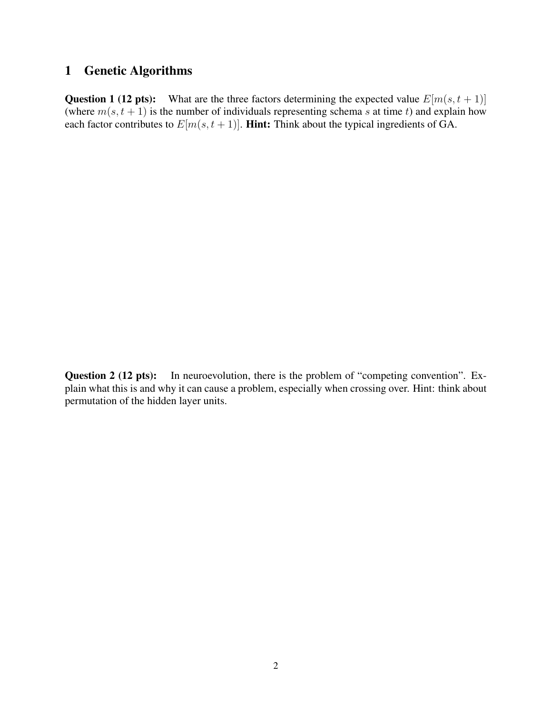#### 1 Genetic Algorithms

**Question 1 (12 pts):** What are the three factors determining the expected value  $E[m(s, t + 1)]$ (where  $m(s, t + 1)$  is the number of individuals representing schema s at time t) and explain how each factor contributes to  $E[m(s, t + 1)]$ . **Hint:** Think about the typical ingredients of GA.

Question 2 (12 pts): In neuroevolution, there is the problem of "competing convention". Explain what this is and why it can cause a problem, especially when crossing over. Hint: think about permutation of the hidden layer units.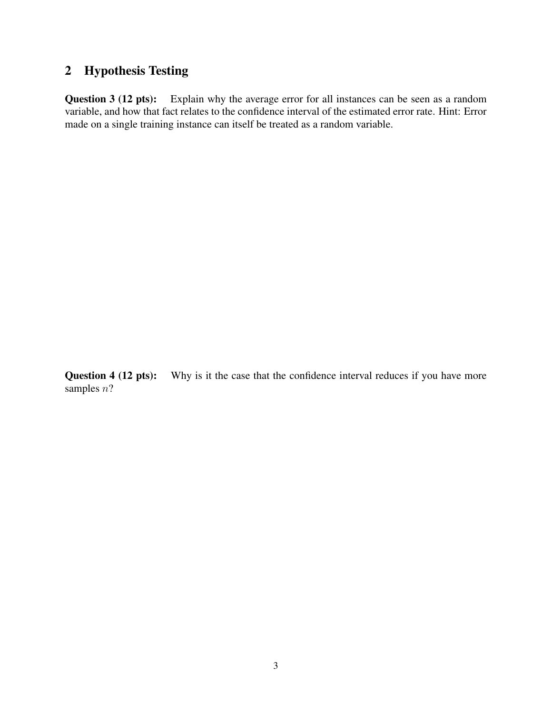## 2 Hypothesis Testing

Question 3 (12 pts): Explain why the average error for all instances can be seen as a random variable, and how that fact relates to the confidence interval of the estimated error rate. Hint: Error made on a single training instance can itself be treated as a random variable.

Question 4 (12 pts): Why is it the case that the confidence interval reduces if you have more samples  $n$ ?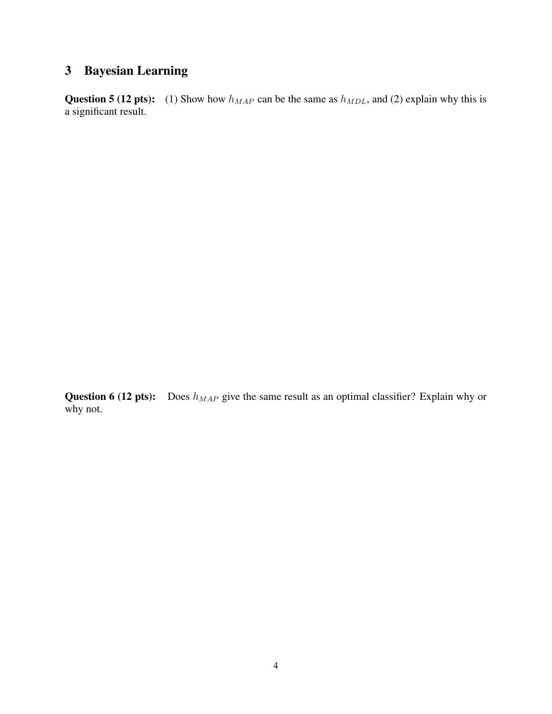# 3 Bayesian Learning

Question 5 (12 pts): (1) Show how  $h_{MAP}$  can be the same as  $h_{MDL}$ , and (2) explain why this is a significant result.

Question 6 (12 pts): Does  $h_{MAP}$  give the same result as an optimal classifier? Explain why or why not.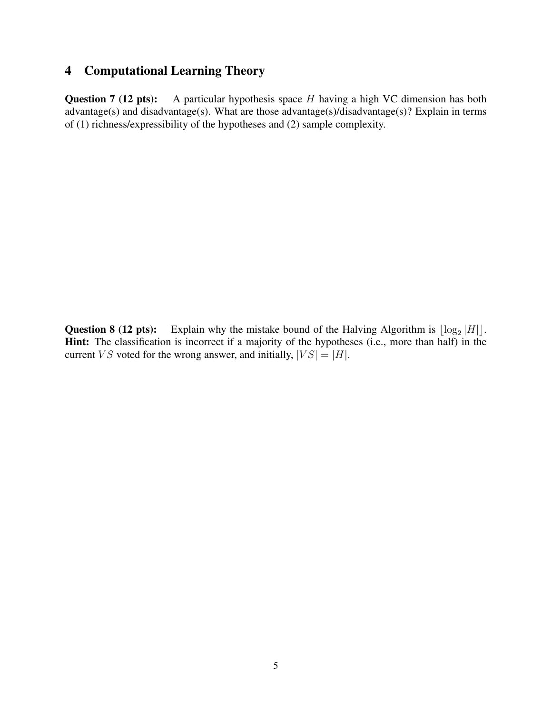### 4 Computational Learning Theory

**Question 7 (12 pts):** A particular hypothesis space  $H$  having a high VC dimension has both advantage(s) and disadvantage(s). What are those advantage(s)/disadvantage(s)? Explain in terms of (1) richness/expressibility of the hypotheses and (2) sample complexity.

**Question 8 (12 pts):** Explain why the mistake bound of the Halving Algorithm is  $\lfloor \log_2 |H| \rfloor$ . Hint: The classification is incorrect if a majority of the hypotheses (i.e., more than half) in the current *VS* voted for the wrong answer, and initially,  $|VS| = |H|$ .